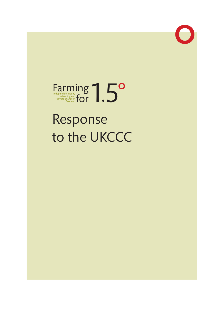

# Farming and **Farming and for 1997** Farming and **Scotland FOR ACTION**

# Response to the UKCCC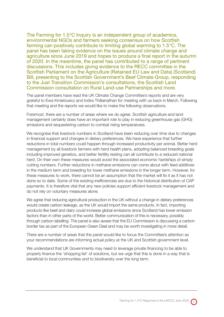The Farming for 1.5°C Inquiry is an independent group of academics, environmental NGOs and farmers seeking consensus on how Scottish farming can positively contribute to limiting global warming to 1.5°C. The panel has been taking evidence on the issues around climate change and agriculture since June 2019 and hopes to produce a final report in the autumn of 2020. In the meantime, the panel has contributed to a range of pertinent discussions. This includes giving evidence to the RECC committee in the Scottish Parliament on the Agriculture (Retained EU Law and Data) (Scotland) Bill, presenting to the Scottish Government's Beef Climate Group, responding to the Just Transition Commission's consultations, the Scottish Land Commission consultation on Rural Land-use Partnerships and more.

The panel members have read the UK Climate Change Committee's reports and are very grateful to Ewa Kmietowicz and Indira Thillainathan for meeting with us back in March. Following that meeting and the reports we would like to make the following observations.

Foremost, there are a number of areas where we do agree. Scottish agriculture and land management certainly does have an important role to play in reducing greenhouse gas (GHG) emissions and sequestering carbon to combat rising temperatures.

We recognise that livestock numbers in Scotland have been reducing over time due to changes in financial support and changes in dietary preferences. We have experience that further reductions in total numbers could happen through increased productivity per animal. Better herd management by all livestock farmers with herd health plans, adopting balanced breeding goals including improved genetics, and better fertility testing can all contribute to a reduced national herd. On their own these measures would avoid the associated economic hardships of simply cutting numbers. Further reductions in methane emissions can come about with feed additives in the medium term and breeding for lower methane emissions in the longer term. However, for these measures to work, there cannot be an assumption that the market will fix it as it has not done so to date. Some of the existing inefficiencies are due to the historical distribution of CAP payments. It is therefore vital that any new policies support efficient livestock management and do not rely on voluntary measures alone.

We agree that reducing agricultural production in the UK without a change in dietary preferences would create carbon leakage, as the UK would import the same products. In fact, importing products like beef and dairy could increase global emissions since Scotland has lower emission factors than in other parts of the world. Better communication of this is necessary, possibly through carbon labelling. The panel is also aware that the EU Commission is discussing a carbon border tax as part of the European Green Deal and may be worth investigating in more detail.

There are a number of areas that the panel would like to focus the Committee's attention as your recommendations are informing actual policy at the UK and Scottish government level.

We understand that UK Governments may need to leverage private financing to be able to properly finance the 'shopping list' of solutions, but we urge that this is done in a way that is beneficial to local communities and to biodiversity over the long term.

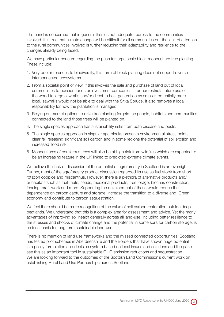The panel is concerned that in general there is not adequate redress to the communities involved. It is true that climate change will be difficult for all communities but the lack of attention to the rural communities involved is further reducing their adaptability and resilience to the changes already being faced.

We have particular concern regarding the push for large scale block monoculture tree planting. These include:

- 1. Very poor references to biodiversity, this form of block planting does not support diverse interconnected ecosystems.
- 2. From a societal point of view, if this involves the sale and purchase of land out of local communities to pension funds or investment companies it further restricts future use of the wood to large sawmills and/or direct to heat generation as smaller, potentially more local, sawmills would not be able to deal with the Sitka Spruce. It also removes a local responsibility for how the plantation is managed.
- 3. Relying on market options to drive tree planting forgets the people, habitats and communities connected to the land those trees will be planted on.
- 4. The single species approach has sustainability risks from both disease and pests.
- 5. The single species approach in singular age blocks presents environmental stress points; clear fell releasing significant soil carbon and in some regions the potential of soil erosion and increased flood risk.
- 6. Monocultures of coniferous trees will also be at high risk from wildfires which are expected to be an increasing feature in the UK linked to predicted extreme climate events.

We believe the lack of discussion of the potential of agroforestry in Scotland is an oversight. Further, most of the agroforestry product discussion regarded its use as fuel stock from short rotation coppice and miscanthus. However, there is a plethora of alternative products and/ or habitats such as fruit, nuts, seeds, medicinal products, tree forage, biochar, construction, fencing, craft-work and more. Supporting the development of these would reduce the dependence on carbon capture and storage, increase the transition to a diverse and 'Green' economy and contribute to carbon sequestration.

We feel there should be more recognition of the value of soil carbon restoration outside deep peatlands. We understand that this is a complex area for assessment and advice. Yet the many advantages of improving soil health generally across all land-use, including better resilience to the stresses and shocks of climate change and the potential in some soils for carbon storage, is an ideal basis for long term sustainable land-use.

There is no mention of land use frameworks and the missed connected opportunities. Scotland has tested pilot schemes in Aberdeenshire and the Borders that have shown huge potential in a policy formulation and decision system based on local issues and solutions and the panel see this as an important tool in sustainable GHG emission reductions and sequestration. We are looking forward to the outcomes of the Scottish Land Commission's current work on establishing Rural Land Use Partnerships across Scotland.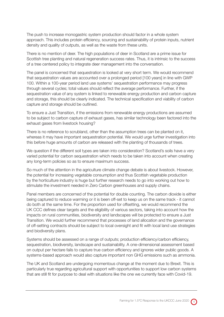The push to increase monogastric system production should factor in a whole system approach. This includes protein efficiency, sourcing and sustainability of protein inputs, nutrient density and quality of outputs, as well as the waste from these units.

There is no mention of deer. The high populations of deer in Scotland are a prime issue for Scottish tree planting and natural regeneration success rates. Thus, it is intrinsic to the success of a tree centered policy to integrate deer management into the conversation.

The panel is concerned that sequestration is looked at very short term. We would recommend that sequestration values are accounted over a prolonged period [100 years] in line with GWP 100. Within a 100-year period land use systems' sequestration performance may progress through several cycles; total values should reflect the average performance. Further, if the sequestration value of any system is linked to renewable energy production and carbon capture and storage, this should be clearly indicated. The technical specification and viability of carbon capture and storage should be outlined.

To ensure a Just Transition, if the emissions from renewable energy productions are assumed to be subject to carbon capture of exhaust gases, has similar technology been factored into the exhaust gases from livestock housing?

There is no reference to scrubland, other than the assumption trees can be planted on it, whereas it may have important sequestration potential. We would urge further investigation into this before huge amounts of carbon are released with the planting of thousands of trees.

We question if the different soil types are taken into consideration? Scotland's soils have a very varied potential for carbon sequestration which needs to be taken into account when creating any long-term policies so as to ensure maximum success.

So much of the attention in the agriculture climate change debate is about livestock. However, the potential for increasing vegetable consumption and thus Scottish vegetable production by the horticulture industry is huge but further research needs to go into working out how to stimulate the investment needed in Zero Carbon greenhouses and supply chains.

Panel members are concerned of the potential for double counting. The carbon dioxide is either being captured to reduce warming or it is been off-set to keep us on the same track - it cannot do both at the same time. For the proportion used for offsetting, we would recommend the UK CCC defines clear targets and the eligibility of various sectors, taking into account how the impacts on rural communities, biodiversity and landscapes will be protected to ensure a Just Transition. We would further recommend that processes of land allocation and the governance of off-setting contracts should be subject to local oversight and fit with local land use strategies and biodiversity plans.

Systems should be assessed on a range of outputs; production efficiency/carbon efficiency, sequestration, biodiversity, landscape and sustainability. A one-dimensional assessment based on output per hectare fails to capture true carbon efficiency and ignores wider public goods. A systems-based approach would also capture important non GHG emissions such as ammonia.

The UK and Scotland are undergoing momentous change at the moment due to Brexit. This is particularly true regarding agricultural support with opportunities to support low carbon systems that are still fit for purpose to deal with situations like the one we currently face with Covid-19.

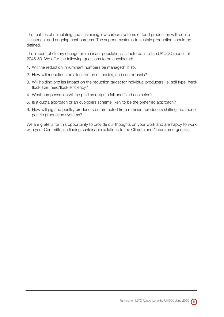The realities of stimulating and sustaining low carbon systems of food production will require investment and ongoing cost burdens. The support systems to sustain production should be defined.

The impact of dietary change on ruminant populations is factored into the UKCCC model for 2045-50. We offer the following questions to be considered:

- 1. Will the reduction in ruminant numbers be managed? If so,
- 2. How will reductions be allocated on a species, and sector basis?
- 3. Will holding profiles impact on the reduction target for individual producers i.e. soil type, herd/ flock size, herd/flock efficiency?
- 4. What compensation will be paid as outputs fall and fixed costs rise?
- 5. Is a quota approach or an out-goers scheme likely to be the preferred approach?
- 6. How will pig and poultry producers be protected from ruminant producers shifting into monogastric production systems?

We are grateful for this opportunity to provide our thoughts on your work and are happy to work with your Committee in finding sustainable solutions to the Climate and Nature emergencies.

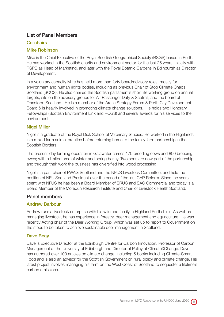# List of Panel Members

## Co-chairs

#### Mike Robinson

Mike is the Chief Executive of the Royal Scottish Geographical Society (RSGS) based in Perth. He has worked in the Scottish charity and environment sector for the last 25 years, initially with RSPB as Head of Marketing, and later with the Royal Botanic Gardens in Edinburgh as Director of Development.

In a voluntary capacity Mike has held more than forty board/advisory roles, mostly for environment and human rights bodies, including as previous Chair of Stop Climate Chaos Scotland (SCCS). He also chaired the Scottish parliament's short life working group on annual targets, sits on the advisory groups for Air Passenger Duty & Scotrail, and the board of Transform Scotland. He is a member of the Arctic Strategy Forum & Perth City Development Board & is heavily involved in promoting climate change solutions. He holds two Honorary Fellowships (Scottish Environment Link and RCGS) and several awards for his services to the environment.

#### Nigel Miller

Nigel is a graduate of the Royal Dick School of Veterinary Studies. He worked in the Highlands in a mixed farm animal practice before returning home to the family farm partnership in the Scottish Borders.

The present-day farming operation in Galawater carries 170 breeding cows and 800 breeding ewes; with a limited area of winter and spring barley. Two sons are now part of the partnership and through their work the business has diversified into wood processing.

Nigel is a past chair of FWAG Scotland and the NFUS Livestock Committee, and held the position of NFU Scotland President over the period of the last CAP Reform. Since the years spent with NFUS he has been a Board Member of SRUC and SAC Commercial and today is a Board Member of the Moredun Research Institute and Chair of Livestock Health Scotland.

#### Panel members

# Andrew Barbour

Andrew runs a livestock enterprise with his wife and family in Highland Perthshire. As well as managing livestock, he has experience in forestry, deer management and aquaculture. He was recently Acting chair of the Deer Working Group, which was set up to report to Government on the steps to be taken to achieve sustainable deer management in Scotland.

# Dave Reay

Dave is Executive Director at the Edinburgh Centre for Carbon Innovation, Professor of Carbon Management at the University of Edinburgh and Director of Policy at ClimateXChange. Dave has authored over 100 articles on climate change, including 5 books including Climate-Smart Food and is also an advisor for the Scottish Government on rural policy and climate change. His latest project involves managing his farm on the West Coast of Scotland to sequester a lifetime's carbon emissions.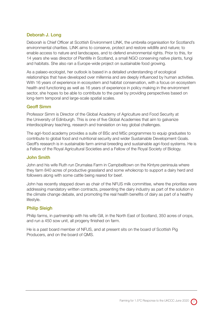# Deborah J. Long

Deborah is Chief Officer at Scottish Environment LINK, the umbrella organisation for Scotland's environmental charities. LINK aims to conserve, protect and restore wildlife and nature; to enable access to nature and landscapes, and to defend environmental rights. Prior to this, for 14 years she was director of Plantlife in Scotland, a small NGO conserving native plants, fungi and habitats. She also ran a Europe-wide project on sustainable food growing.

As a palaeo-ecologist, her outlook is based in a detailed understanding of ecological relationships that have developed over millennia and are deeply influenced by human activities. With 16 years of experience in ecosystem and habitat conservation, with a focus on ecosystem health and functioning as well as 16 years of experience in policy making in the environment sector, she hopes to be able to contribute to the panel by providing perspectives based on long-term temporal and large-scale spatial scales.

#### Geoff Simm

Professor Simm is Director of the Global Academy of Agriculture and Food Security at the University of Edinburgh. This is one of five Global Academies that aim to galvanize interdisciplinary teaching, research and translation on key global challenges.

The agri-food academy provides a suite of BSc and MSc programmes to equip graduates to contribute to global food and nutritional security and wider Sustainable Development Goals. Geoff's research is in sustainable farm animal breeding and sustainable agri-food systems. He is a Fellow of the Royal Agricultural Societies and a Fellow of the Royal Society of Biology.

#### John Smith

John and his wife Ruth run Drumalea Farm in Campbelltown on the Kintyre peninsula where they farm 840 acres of productive grassland and some wholecrop to support a dairy herd and followers along with some cattle being reared for beef.

John has recently stepped down as chair of the NFUS milk committee, where the priorities were addressing mandatory written contracts, presenting the dairy industry as part of the solution in the climate change debate, and promoting the real health benefits of dairy as part of a healthy lifestyle.

#### **Philip Sleigh**

Philip farms, in partnership with his wife Gill, in the North East of Scotland, 350 acres of crops, and run a 450 sow unit, all progeny finished on farm.

He is a past board member of NFUS, and at present sits on the board of Scottish Pig Producers, and on the board of QMS.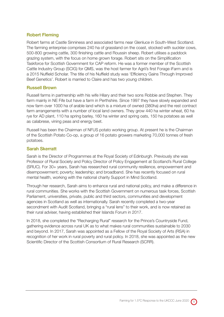## Robert Fleming

Robert farms at Castle Sinniness and associated farms near Glenluce in South-West Scotland. The farming enterprise comprises 240 ha of grassland on the coast, stocked with suckler cows, 500-800 growing cattle, 300 finishing cattle and Roussin sheep. Robert utilises a paddock grazing system, with the focus on home grown forage. Robert sits on the Simplification Taskforce for Scottish Government for CAP reform. He was a former member of the Scottish Cattle Industry Group (SCIG) for QMS, was the host farmer for Agrii's first Forage iFarm and is a 2015 Nuffield Scholar. The title of his Nuffield study was 'Efficiency Gains Through Improved Beef Genetics'. Robert is married to Claire and has two young children.

#### Russell Brown

Russell farms in partnership with his wife Hilary and their two sons Robbie and Stephen. They farm mainly in NE Fife but have a farm in Perthshire. Since 1997 they have slowly expanded and now farm over 1000 ha of arable land which is a mixture of owned (380ha) and the rest contract farm arrangements with a number of local land owners. They grow 440 ha winter wheat, 60 ha rye for AD plant, 110 ha spring barley, 160 ha winter and spring oats, 150 ha potatoes as well as calabrese, vining peas and energy beet.

Russell has been the Chairman of NFUS potato working group. At present he is the Chairman of the Scottish Potato Co-op, a group of 16 potato growers marketing 70,000 tonnes of fresh potatoes.

#### Sarah Skerratt

Sarah is the Director of Programmes at the Royal Society of Edinburgh. Previously she was Professor of Rural Society and Policy Director of Policy Engagement at Scotland's Rural College (SRUC). For 30+ years, Sarah has researched rural community resilience, empowerment and disempowerment; poverty; leadership; and broadband. She has recently focused on rural mental health, working with the national charity Support in Mind Scotland.

Through her research, Sarah aims to enhance rural and national policy, and make a difference in rural communities. She works with the Scottish Government on numerous task forces, Scottish Parliament, universities, private, public and third sectors, communities and development agencies in Scotland as well as internationally. Sarah recently completed a two-year secondment with Audit Scotland, bringing a "rural lens" to their work, and is now retained as their rural adviser, having established their Islands Forum in 2017.

In 2018, she completed the "Recharging Rural" research for the Prince's Countryside Fund, gathering evidence across rural UK as to what makes rural communities sustainable to 2030 and beyond. In 2017, Sarah was appointed as a Fellow of the Royal Society of Arts (RSA) in recognition of her work in rural poverty and rural policy. In 2018, she was appointed as the new Scientific Director of the Scottish Consortium of Rural Research (SCRR).